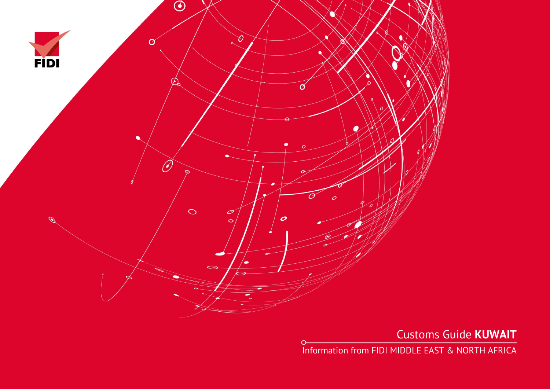

 $\circ$ 

Customs Guide **KUWAIT**

Information from FIDI MIDDLE EAST & NORTH AFRICA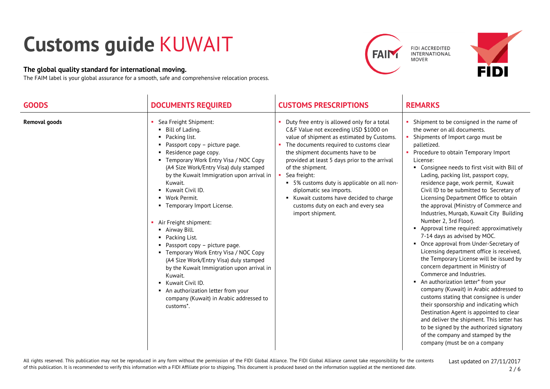## **Customs guide** KUWAIT

## **The global quality standard for international moving.**

The FAIM label is your global assurance for a smooth, safe and comprehensive relocation process.





| <b>GOODS</b>         | <b>DOCUMENTS REQUIRED</b>                                                                                                                                                                                                                                                                                                                                                                                                                                                                                                                                                                                                                                                                       | <b>CUSTOMS PRESCRIPTIONS</b>                                                                                                                                                                                                                                                                                                                                                                                                                                                         | <b>REMARKS</b>                                                                                                                                                                                                                                                                                                                                                                                                                                                                                                                                                                                                                                                                                                                                                                                                                                                                                                                                                                                                                                                                                                                                                                     |
|----------------------|-------------------------------------------------------------------------------------------------------------------------------------------------------------------------------------------------------------------------------------------------------------------------------------------------------------------------------------------------------------------------------------------------------------------------------------------------------------------------------------------------------------------------------------------------------------------------------------------------------------------------------------------------------------------------------------------------|--------------------------------------------------------------------------------------------------------------------------------------------------------------------------------------------------------------------------------------------------------------------------------------------------------------------------------------------------------------------------------------------------------------------------------------------------------------------------------------|------------------------------------------------------------------------------------------------------------------------------------------------------------------------------------------------------------------------------------------------------------------------------------------------------------------------------------------------------------------------------------------------------------------------------------------------------------------------------------------------------------------------------------------------------------------------------------------------------------------------------------------------------------------------------------------------------------------------------------------------------------------------------------------------------------------------------------------------------------------------------------------------------------------------------------------------------------------------------------------------------------------------------------------------------------------------------------------------------------------------------------------------------------------------------------|
| <b>Removal goods</b> | Sea Freight Shipment:<br>Bill of Lading.<br>Packing list.<br>Passport copy - picture page.<br>Residence page copy.<br>Temporary Work Entry Visa / NOC Copy<br>(A4 Size Work/Entry Visa) duly stamped<br>by the Kuwait Immigration upon arrival in<br>Kuwait.<br>• Kuwait Civil ID.<br>• Work Permit.<br>• Temporary Import License.<br>Air Freight shipment:<br>• Airway Bill.<br>Packing List.<br>Passport copy - picture page.<br>• Temporary Work Entry Visa / NOC Copy<br>(A4 Size Work/Entry Visa) duly stamped<br>by the Kuwait Immigration upon arrival in<br>Kuwait.<br>Kuwait Civil ID.<br>• An authorization letter from your<br>company (Kuwait) in Arabic addressed to<br>customs*. | Duty free entry is allowed only for a total<br>C&F Value not exceeding USD \$1000 on<br>value of shipment as estimated by Customs.<br>The documents required to customs clear<br>the shipment documents have to be<br>provided at least 5 days prior to the arrival<br>of the shipment.<br>Sea freight:<br>• 5% customs duty is applicable on all non-<br>diplomatic sea imports.<br>Kuwait customs have decided to charge<br>customs duty on each and every sea<br>import shipment. | Shipment to be consigned in the name of<br>the owner on all documents.<br>Shipments of Import cargo must be<br>palletized.<br>• Procedure to obtain Temporary Import<br>License:<br>• Consignee needs to first visit with Bill of<br>Lading, packing list, passport copy,<br>residence page, work permit, Kuwait<br>Civil ID to be submitted to Secretary of<br>Licensing Department Office to obtain<br>the approval (Ministry of Commerce and<br>Industries, Murqab, Kuwait City Building<br>Number 2, 3rd Floor).<br>Approval time required: approximatively<br>7-14 days as advised by MOC.<br>• Once approval from Under-Secretary of<br>Licensing department office is received,<br>the Temporary License will be issued by<br>concern department in Ministry of<br>Commerce and Industries.<br>An authorization letter* from your<br>company (Kuwait) in Arabic addressed to<br>customs stating that consignee is under<br>their sponsorship and indicating which<br>Destination Agent is appointed to clear<br>and deliver the shipment. This letter has<br>to be signed by the authorized signatory<br>of the company and stamped by the<br>company (must be on a company |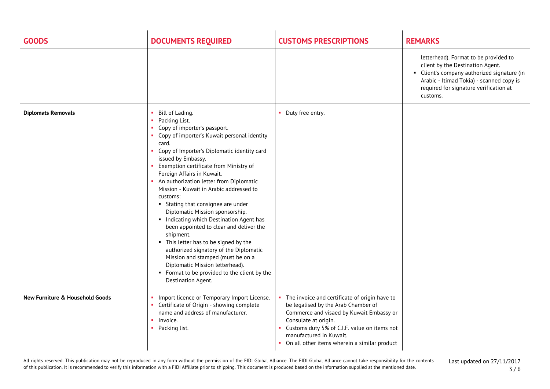| <b>GOODS</b>                               | <b>DOCUMENTS REQUIRED</b>                                                                                                                                                                                                                                                                                                                                                                                                                                                                                                                                                                                                                                                                                                                                                                                                   | <b>CUSTOMS PRESCRIPTIONS</b>                                                                                                                                                                                                                                                        | <b>REMARKS</b>                                                                                                                                                                                                                 |
|--------------------------------------------|-----------------------------------------------------------------------------------------------------------------------------------------------------------------------------------------------------------------------------------------------------------------------------------------------------------------------------------------------------------------------------------------------------------------------------------------------------------------------------------------------------------------------------------------------------------------------------------------------------------------------------------------------------------------------------------------------------------------------------------------------------------------------------------------------------------------------------|-------------------------------------------------------------------------------------------------------------------------------------------------------------------------------------------------------------------------------------------------------------------------------------|--------------------------------------------------------------------------------------------------------------------------------------------------------------------------------------------------------------------------------|
|                                            |                                                                                                                                                                                                                                                                                                                                                                                                                                                                                                                                                                                                                                                                                                                                                                                                                             |                                                                                                                                                                                                                                                                                     | letterhead). Format to be provided to<br>client by the Destination Agent.<br>Client's company authorized signature (in<br>п.<br>Arabic - Itimad Tokia) - scanned copy is<br>required for signature verification at<br>customs. |
| <b>Diplomats Removals</b>                  | Bill of Lading.<br><b>College</b><br>Packing List.<br>Copy of importer's passport.<br>$\blacksquare$<br>Copy of importer's Kuwait personal identity<br>card.<br>• Copy of Importer's Diplomatic identity card<br>issued by Embassy.<br>Exemption certificate from Ministry of<br>Foreign Affairs in Kuwait.<br>• An authorization letter from Diplomatic<br>Mission - Kuwait in Arabic addressed to<br>customs:<br>• Stating that consignee are under<br>Diplomatic Mission sponsorship.<br>Indicating which Destination Agent has<br>been appointed to clear and deliver the<br>shipment.<br>• This letter has to be signed by the<br>authorized signatory of the Diplomatic<br>Mission and stamped (must be on a<br>Diplomatic Mission letterhead).<br>• Format to be provided to the client by the<br>Destination Agent. | • Duty free entry.                                                                                                                                                                                                                                                                  |                                                                                                                                                                                                                                |
| <b>New Furniture &amp; Household Goods</b> | • Import licence or Temporary Import License.<br>• Certificate of Origin - showing complete<br>name and address of manufacturer.<br>$\blacksquare$ Invoice.<br>Packing list.<br>$\mathbf{u}$ .                                                                                                                                                                                                                                                                                                                                                                                                                                                                                                                                                                                                                              | The invoice and certificate of origin have to<br>be legalised by the Arab Chamber of<br>Commerce and visaed by Kuwait Embassy or<br>Consulate at origin.<br>Customs duty 5% of C.I.F. value on items not<br>manufactured in Kuwait.<br>On all other items wherein a similar product |                                                                                                                                                                                                                                |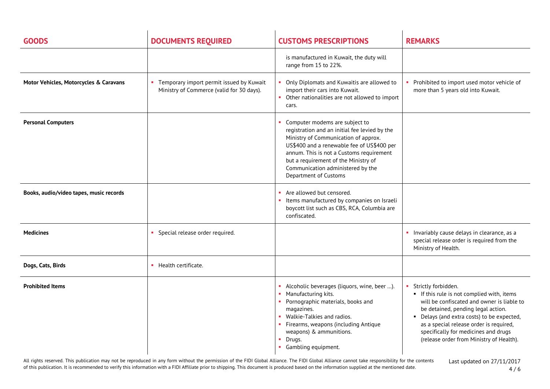| <b>GOODS</b>                            | <b>DOCUMENTS REQUIRED</b>                                                               | <b>CUSTOMS PRESCRIPTIONS</b>                                                                                                                                                                                                                                                                                            | <b>REMARKS</b>                                                                                                                                                                                                                                                                                                                   |
|-----------------------------------------|-----------------------------------------------------------------------------------------|-------------------------------------------------------------------------------------------------------------------------------------------------------------------------------------------------------------------------------------------------------------------------------------------------------------------------|----------------------------------------------------------------------------------------------------------------------------------------------------------------------------------------------------------------------------------------------------------------------------------------------------------------------------------|
|                                         |                                                                                         | is manufactured in Kuwait, the duty will<br>range from 15 to 22%.                                                                                                                                                                                                                                                       |                                                                                                                                                                                                                                                                                                                                  |
| Motor Vehicles, Motorcycles & Caravans  | • Temporary import permit issued by Kuwait<br>Ministry of Commerce (valid for 30 days). | Only Diplomats and Kuwaitis are allowed to<br>import their cars into Kuwait.<br>Other nationalities are not allowed to import<br>cars.                                                                                                                                                                                  | • Prohibited to import used motor vehicle of<br>more than 5 years old into Kuwait.                                                                                                                                                                                                                                               |
| <b>Personal Computers</b>               |                                                                                         | Computer modems are subject to<br>registration and an initial fee levied by the<br>Ministry of Communication of approx.<br>US\$400 and a renewable fee of US\$400 per<br>annum. This is not a Customs requirement<br>but a requirement of the Ministry of<br>Communication administered by the<br>Department of Customs |                                                                                                                                                                                                                                                                                                                                  |
| Books, audio/video tapes, music records |                                                                                         | Are allowed but censored.<br>Items manufactured by companies on Israeli<br>boycott list such as CBS, RCA, Columbia are<br>confiscated.                                                                                                                                                                                  |                                                                                                                                                                                                                                                                                                                                  |
| <b>Medicines</b>                        | Special release order required.                                                         |                                                                                                                                                                                                                                                                                                                         | • Invariably cause delays in clearance, as a<br>special release order is required from the<br>Ministry of Health.                                                                                                                                                                                                                |
| Dogs, Cats, Birds                       | • Health certificate.                                                                   |                                                                                                                                                                                                                                                                                                                         |                                                                                                                                                                                                                                                                                                                                  |
| <b>Prohibited Items</b>                 |                                                                                         | Alcoholic beverages (liquors, wine, beer ).<br>Manufacturing kits.<br>• Pornographic materials, books and<br>magazines.<br>Walkie-Talkies and radios.<br>Firearms, weapons (including Antique<br>weapons) & ammunitions.<br>Drugs.<br>Gambling equipment.                                                               | Strictly forbidden.<br>If this rule is not complied with, items<br>will be confiscated and owner is liable to<br>be detained, pending legal action.<br>• Delays (and extra costs) to be expected,<br>as a special release order is required,<br>specifically for medicines and drugs<br>(release order from Ministry of Health). |

All rights reserved. This publication may not be reproduced in any form without the permission of the FIDI Global Alliance. The FIDI Global Alliance cannot take responsibility for the contents of this publication. It is recommended to verify this information with a FIDI Affiliate prior to shipping. This document is produced based on the information supplied at the mentioned date.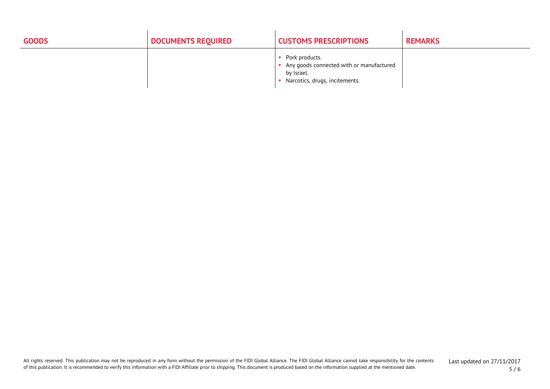| <b>GOODS</b> | <b>DOCUMENTS REQUIRED</b> | <b>CUSTOMS PRESCRIPTIONS</b>                                                                               | <b>REMARKS</b> |
|--------------|---------------------------|------------------------------------------------------------------------------------------------------------|----------------|
|              |                           | Pork products.<br>Any goods connected with or manufactured<br>by Israel.<br>Narcotics, drugs, incitements. |                |